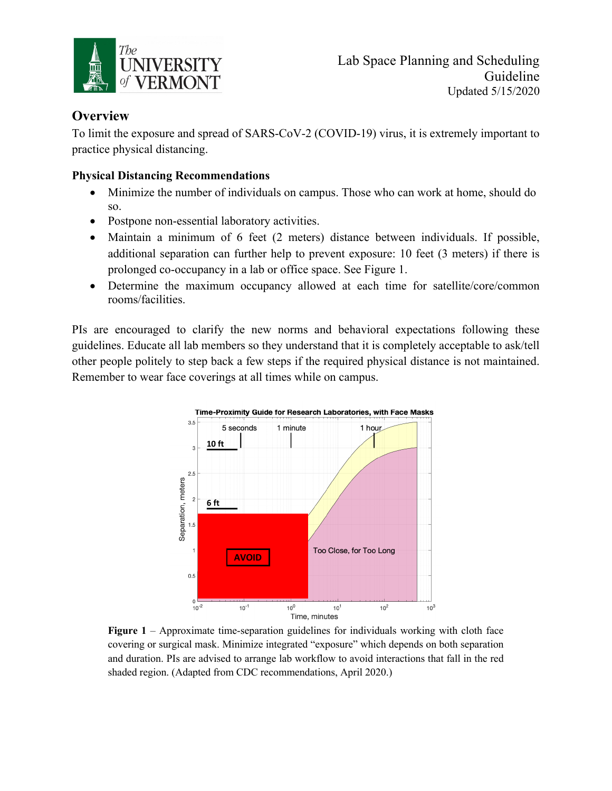

## **Overview**

To limit the exposure and spread of SARS-CoV-2 (COVID-19) virus, it is extremely important to practice physical distancing.

## **Physical Distancing Recommendations**

- Minimize the number of individuals on campus. Those who can work at home, should do so. **CAME FROM CSHEMA webinar**
	- Postpone non-essential laboratory activities.
- Maintain a minimum of 6 feet (2 meters) distance between individuals. If possible, additional separation can further help to prevent exposure: 10 feet (3 meters) if there is prolonged co-occupancy in a lab or office space. See Figure 1.
- Determine the maximum occupancy allowed at each time for satellite/core/common rooms/facilities.

PIs are encouraged to clarify the new norms and behavioral expectations following these guidelines. Educate all lab members so they understand that it is completely acceptable to ask/tell other people politely to step back a few steps if the required physical distance is not maintained. Remember to wear face coverings at all times while on campus. nomono cr



**Figure 1** – Approximate time-separation guidelines for individuals working with cloth face covering or surgical mask. Minimize integrated "exposure" which depends on both separation and duration. PIs are advised to arrange lab workflow to avoid interactions that fall in the red shaded region. (Adapted from CDC recommendations, April 2020.)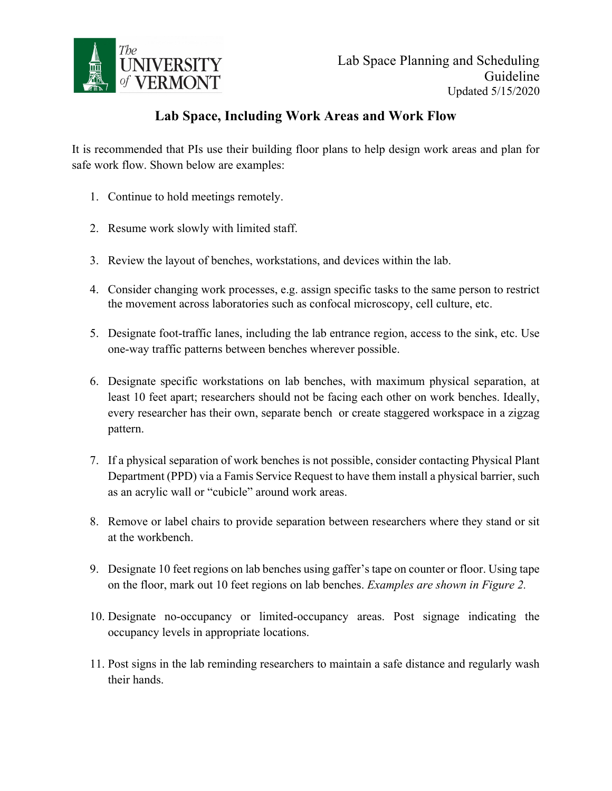

## **Lab Space, Including Work Areas and Work Flow**

It is recommended that PIs use their building floor plans to help design work areas and plan for safe work flow. Shown below are examples:

- 1. Continue to hold meetings remotely.
- 2. Resume work slowly with limited staff.
- 3. Review the layout of benches, workstations, and devices within the lab.
- 4. Consider changing work processes, e.g. assign specific tasks to the same person to restrict the movement across laboratories such as confocal microscopy, cell culture, etc.
- 5. Designate foot-traffic lanes, including the lab entrance region, access to the sink, etc. Use one-way traffic patterns between benches wherever possible.
- 6. Designate specific workstations on lab benches, with maximum physical separation, at least 10 feet apart; researchers should not be facing each other on work benches. Ideally, every researcher has their own, separate bench or create staggered workspace in a zigzag pattern.
- 7. If a physical separation of work benches is not possible, consider contacting Physical Plant Department (PPD) via a Famis Service Request to have them install a physical barrier, such as an acrylic wall or "cubicle" around work areas.
- 8. Remove or label chairs to provide separation between researchers where they stand or sit at the workbench.
- 9. Designate 10 feet regions on lab benches using gaffer's tape on counter or floor. Using tape on the floor, mark out 10 feet regions on lab benches. *Examples are shown in Figure 2.*
- 10. Designate no-occupancy or limited-occupancy areas. Post signage indicating the occupancy levels in appropriate locations.
- 11. Post signs in the lab reminding researchers to maintain a safe distance and regularly wash their hands.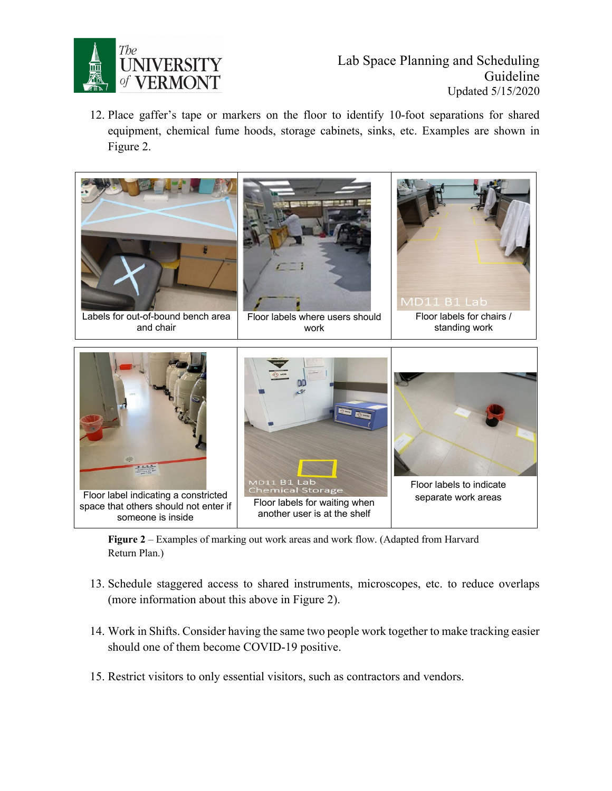

12. Place gaffer's tape or markers on the floor to identify 10-foot separations for shared equipment, chemical fume hoods, storage cabinets, sinks, etc. Examples are shown in Figure 2.  $F_{1}$  is recovered to physically matches in the laboratory using tape and positive and positive and positive and positive and positive and positive and positive and positive and positive and positive and positive and pos the marked floorplan at the laboratory entrance. Examples are shown in Fig. 2.



Figure 2 – Examples of marking out work areas and work flow. (Adapted from Harvard Return Plan.)

- 13. Schedule staggered access to shared instruments, microscopes, etc. to reduce overlaps (more information about this above in Figure 2).
- 14. Work in Shifts. Consider having the same two people work together to make tracking easier should one of them become COVID-19 positive.
- 15. Restrict visitors to only essential visitors, such as contractors and vendors.